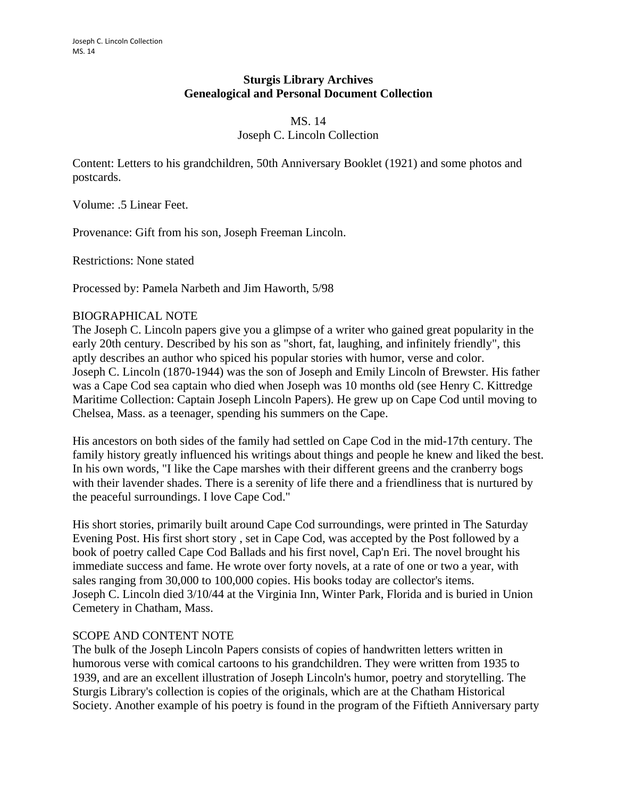## **Sturgis Library Archives Genealogical and Personal Document Collection**

### MS. 14 Joseph C. Lincoln Collection

Content: Letters to his grandchildren, 50th Anniversary Booklet (1921) and some photos and postcards.

Volume: .5 Linear Feet.

Provenance: Gift from his son, Joseph Freeman Lincoln.

Restrictions: None stated

Processed by: Pamela Narbeth and Jim Haworth, 5/98

#### BIOGRAPHICAL NOTE

The Joseph C. Lincoln papers give you a glimpse of a writer who gained great popularity in the early 20th century. Described by his son as "short, fat, laughing, and infinitely friendly", this aptly describes an author who spiced his popular stories with humor, verse and color. Joseph C. Lincoln (1870-1944) was the son of Joseph and Emily Lincoln of Brewster. His father was a Cape Cod sea captain who died when Joseph was 10 months old (see Henry C. Kittredge Maritime Collection: Captain Joseph Lincoln Papers). He grew up on Cape Cod until moving to Chelsea, Mass. as a teenager, spending his summers on the Cape.

His ancestors on both sides of the family had settled on Cape Cod in the mid-17th century. The family history greatly influenced his writings about things and people he knew and liked the best. In his own words, "I like the Cape marshes with their different greens and the cranberry bogs with their lavender shades. There is a serenity of life there and a friendliness that is nurtured by the peaceful surroundings. I love Cape Cod."

His short stories, primarily built around Cape Cod surroundings, were printed in The Saturday Evening Post. His first short story , set in Cape Cod, was accepted by the Post followed by a book of poetry called Cape Cod Ballads and his first novel, Cap'n Eri. The novel brought his immediate success and fame. He wrote over forty novels, at a rate of one or two a year, with sales ranging from 30,000 to 100,000 copies. His books today are collector's items. Joseph C. Lincoln died 3/10/44 at the Virginia Inn, Winter Park, Florida and is buried in Union Cemetery in Chatham, Mass.

#### SCOPE AND CONTENT NOTE

The bulk of the Joseph Lincoln Papers consists of copies of handwritten letters written in humorous verse with comical cartoons to his grandchildren. They were written from 1935 to 1939, and are an excellent illustration of Joseph Lincoln's humor, poetry and storytelling. The Sturgis Library's collection is copies of the originals, which are at the Chatham Historical Society. Another example of his poetry is found in the program of the Fiftieth Anniversary party